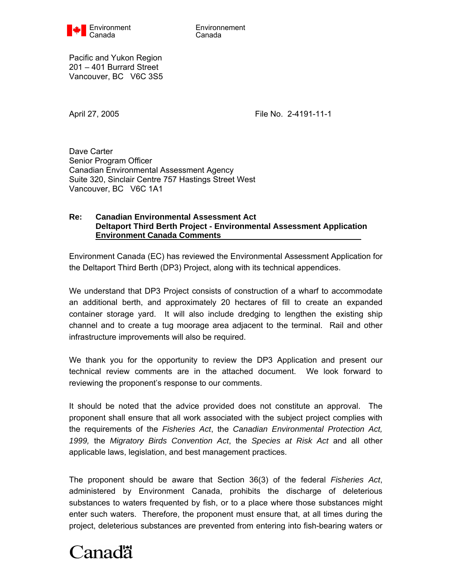

Environment Environnement<br>Canada Canada Canada

Pacific and Yukon Region 201 – 401 Burrard Street Vancouver, BC V6C 3S5

April 27, 2005 **File No. 2-4191-11-1** 

Dave Carter Senior Program Officer Canadian Environmental Assessment Agency Suite 320, Sinclair Centre 757 Hastings Street West Vancouver, BC V6C 1A1

## **Re: Canadian Environmental Assessment Act Deltaport Third Berth Project - Environmental Assessment Application Environment Canada Comments**

Environment Canada (EC) has reviewed the Environmental Assessment Application for the Deltaport Third Berth (DP3) Project, along with its technical appendices.

We understand that DP3 Project consists of construction of a wharf to accommodate an additional berth, and approximately 20 hectares of fill to create an expanded container storage yard. It will also include dredging to lengthen the existing ship channel and to create a tug moorage area adjacent to the terminal. Rail and other infrastructure improvements will also be required.

We thank you for the opportunity to review the DP3 Application and present our technical review comments are in the attached document. We look forward to reviewing the proponent's response to our comments.

It should be noted that the advice provided does not constitute an approval. The proponent shall ensure that all work associated with the subject project complies with the requirements of the *Fisheries Act*, the *Canadian Environmental Protection Act, 1999,* the *Migratory Birds Convention Act*, the *Species at Risk Act* and all other applicable laws, legislation, and best management practices.

The proponent should be aware that Section 36(3) of the federal *Fisheries Act*, administered by Environment Canada, prohibits the discharge of deleterious substances to waters frequented by fish, or to a place where those substances might enter such waters. Therefore, the proponent must ensure that, at all times during the project, deleterious substances are prevented from entering into fish-bearing waters or

# Canadä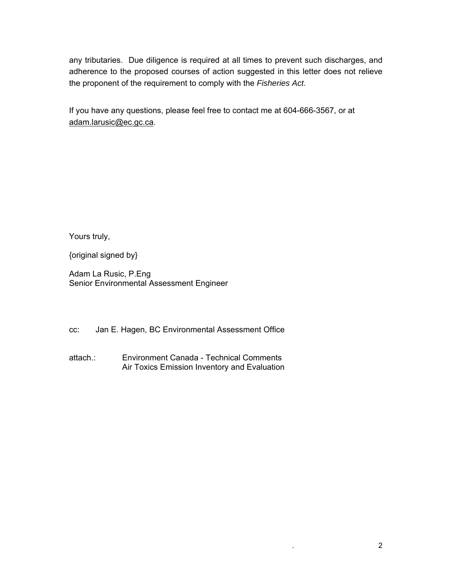any tributaries. Due diligence is required at all times to prevent such discharges, and adherence to the proposed courses of action suggested in this letter does not relieve the proponent of the requirement to comply with the *Fisheries Act.*

If you have any questions, please feel free to contact me at 604-666-3567, or at [adam.larusic@ec.gc.ca](mailto:Adam.Larusic@ec.gc.ca).

Yours truly,

{original signed by}

Adam La Rusic, P.Eng Senior Environmental Assessment Engineer

cc: Jan E. Hagen, BC Environmental Assessment Office

attach.: Environment Canada - Technical Comments Air Toxics Emission Inventory and Evaluation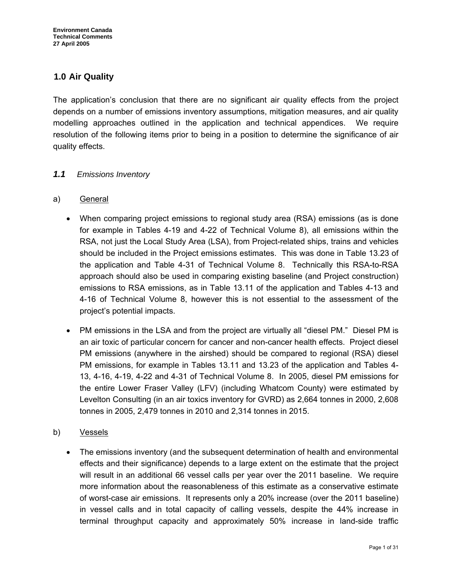# **1.0 Air Quality**

The application's conclusion that there are no significant air quality effects from the project depends on a number of emissions inventory assumptions, mitigation measures, and air quality modelling approaches outlined in the application and technical appendices. We require resolution of the following items prior to being in a position to determine the significance of air quality effects.

## *1.1 Emissions Inventory*

- a) General
	- When comparing project emissions to regional study area (RSA) emissions (as is done for example in Tables 4-19 and 4-22 of Technical Volume 8), all emissions within the RSA, not just the Local Study Area (LSA), from Project-related ships, trains and vehicles should be included in the Project emissions estimates. This was done in Table 13.23 of the application and Table 4-31 of Technical Volume 8. Technically this RSA-to-RSA approach should also be used in comparing existing baseline (and Project construction) emissions to RSA emissions, as in Table 13.11 of the application and Tables 4-13 and 4-16 of Technical Volume 8, however this is not essential to the assessment of the project's potential impacts.
	- PM emissions in the LSA and from the project are virtually all "diesel PM." Diesel PM is an air toxic of particular concern for cancer and non-cancer health effects. Project diesel PM emissions (anywhere in the airshed) should be compared to regional (RSA) diesel PM emissions, for example in Tables 13.11 and 13.23 of the application and Tables 4- 13, 4-16, 4-19, 4-22 and 4-31 of Technical Volume 8. In 2005, diesel PM emissions for the entire Lower Fraser Valley (LFV) (including Whatcom County) were estimated by Levelton Consulting (in an air toxics inventory for GVRD) as 2,664 tonnes in 2000, 2,608 tonnes in 2005, 2,479 tonnes in 2010 and 2,314 tonnes in 2015.
- b) Vessels
	- The emissions inventory (and the subsequent determination of health and environmental effects and their significance) depends to a large extent on the estimate that the project will result in an additional 66 vessel calls per year over the 2011 baseline. We require more information about the reasonableness of this estimate as a conservative estimate of worst-case air emissions. It represents only a 20% increase (over the 2011 baseline) in vessel calls and in total capacity of calling vessels, despite the 44% increase in terminal throughput capacity and approximately 50% increase in land-side traffic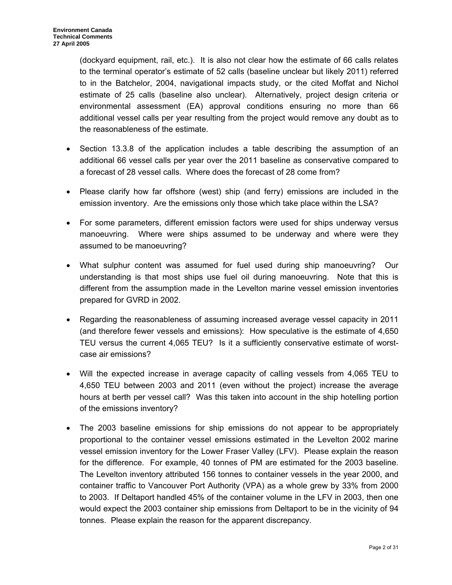(dockyard equipment, rail, etc.). It is also not clear how the estimate of 66 calls relates to the terminal operator's estimate of 52 calls (baseline unclear but likely 2011) referred to in the Batchelor, 2004, navigational impacts study, or the cited Moffat and Nichol estimate of 25 calls (baseline also unclear). Alternatively, project design criteria or environmental assessment (EA) approval conditions ensuring no more than 66 additional vessel calls per year resulting from the project would remove any doubt as to the reasonableness of the estimate.

- Section 13.3.8 of the application includes a table describing the assumption of an additional 66 vessel calls per year over the 2011 baseline as conservative compared to a forecast of 28 vessel calls. Where does the forecast of 28 come from?
- Please clarify how far offshore (west) ship (and ferry) emissions are included in the emission inventory. Are the emissions only those which take place within the LSA?
- For some parameters, different emission factors were used for ships underway versus manoeuvring. Where were ships assumed to be underway and where were they assumed to be manoeuvring?
- What sulphur content was assumed for fuel used during ship manoeuvring? Our understanding is that most ships use fuel oil during manoeuvring. Note that this is different from the assumption made in the Levelton marine vessel emission inventories prepared for GVRD in 2002.
- Regarding the reasonableness of assuming increased average vessel capacity in 2011 (and therefore fewer vessels and emissions): How speculative is the estimate of 4,650 TEU versus the current 4,065 TEU? Is it a sufficiently conservative estimate of worstcase air emissions?
- Will the expected increase in average capacity of calling vessels from 4,065 TEU to 4,650 TEU between 2003 and 2011 (even without the project) increase the average hours at berth per vessel call? Was this taken into account in the ship hotelling portion of the emissions inventory?
- The 2003 baseline emissions for ship emissions do not appear to be appropriately proportional to the container vessel emissions estimated in the Levelton 2002 marine vessel emission inventory for the Lower Fraser Valley (LFV). Please explain the reason for the difference. For example, 40 tonnes of PM are estimated for the 2003 baseline. The Levelton inventory attributed 156 tonnes to container vessels in the year 2000, and container traffic to Vancouver Port Authority (VPA) as a whole grew by 33% from 2000 to 2003. If Deltaport handled 45% of the container volume in the LFV in 2003, then one would expect the 2003 container ship emissions from Deltaport to be in the vicinity of 94 tonnes. Please explain the reason for the apparent discrepancy.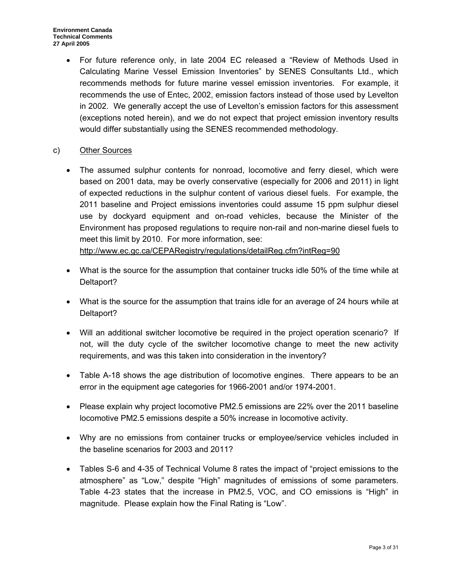• For future reference only, in late 2004 EC released a "Review of Methods Used in Calculating Marine Vessel Emission Inventories" by SENES Consultants Ltd., which recommends methods for future marine vessel emission inventories. For example, it recommends the use of Entec, 2002, emission factors instead of those used by Levelton in 2002. We generally accept the use of Levelton's emission factors for this assessment (exceptions noted herein), and we do not expect that project emission inventory results would differ substantially using the SENES recommended methodology.

## c) Other Sources

The assumed sulphur contents for nonroad, locomotive and ferry diesel, which were based on 2001 data, may be overly conservative (especially for 2006 and 2011) in light of expected reductions in the sulphur content of various diesel fuels. For example, the 2011 baseline and Project emissions inventories could assume 15 ppm sulphur diesel use by dockyard equipment and on-road vehicles, because the Minister of the Environment has proposed regulations to require non-rail and non-marine diesel fuels to meet this limit by 2010. For more information, see:

<http://www.ec.gc.ca/CEPARegistry/regulations/detailReg.cfm?intReg=90>

- What is the source for the assumption that container trucks idle 50% of the time while at Deltaport?
- What is the source for the assumption that trains idle for an average of 24 hours while at Deltaport?
- Will an additional switcher locomotive be required in the project operation scenario? If not, will the duty cycle of the switcher locomotive change to meet the new activity requirements, and was this taken into consideration in the inventory?
- Table A-18 shows the age distribution of locomotive engines. There appears to be an error in the equipment age categories for 1966-2001 and/or 1974-2001.
- Please explain why project locomotive PM2.5 emissions are 22% over the 2011 baseline locomotive PM2.5 emissions despite a 50% increase in locomotive activity.
- Why are no emissions from container trucks or employee/service vehicles included in the baseline scenarios for 2003 and 2011?
- Tables S-6 and 4-35 of Technical Volume 8 rates the impact of "project emissions to the atmosphere" as "Low," despite "High" magnitudes of emissions of some parameters. Table 4-23 states that the increase in PM2.5, VOC, and CO emissions is "High" in magnitude. Please explain how the Final Rating is "Low".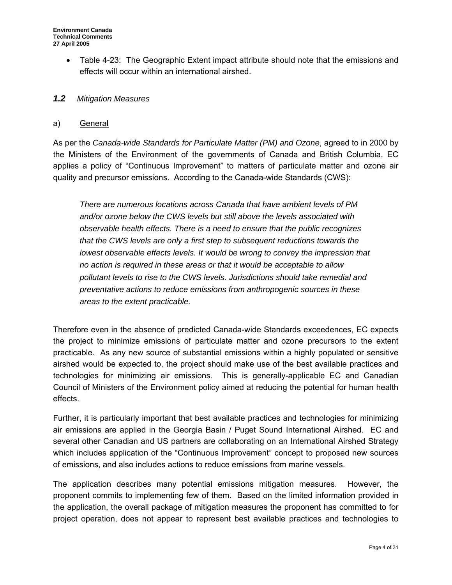• Table 4-23: The Geographic Extent impact attribute should note that the emissions and effects will occur within an international airshed.

## *1.2 Mitigation Measures*

#### a) General

As per the *Canada-wide Standards for Particulate Matter (PM) and Ozone*, agreed to in 2000 by the Ministers of the Environment of the governments of Canada and British Columbia, EC applies a policy of "Continuous Improvement" to matters of particulate matter and ozone air quality and precursor emissions. According to the Canada-wide Standards (CWS):

*There are numerous locations across Canada that have ambient levels of PM and/or ozone below the CWS levels but still above the levels associated with observable health effects. There is a need to ensure that the public recognizes that the CWS levels are only a first step to subsequent reductions towards the lowest observable effects levels. It would be wrong to convey the impression that no action is required in these areas or that it would be acceptable to allow pollutant levels to rise to the CWS levels. Jurisdictions should take remedial and preventative actions to reduce emissions from anthropogenic sources in these areas to the extent practicable.* 

Therefore even in the absence of predicted Canada-wide Standards exceedences, EC expects the project to minimize emissions of particulate matter and ozone precursors to the extent practicable. As any new source of substantial emissions within a highly populated or sensitive airshed would be expected to, the project should make use of the best available practices and technologies for minimizing air emissions. This is generally-applicable EC and Canadian Council of Ministers of the Environment policy aimed at reducing the potential for human health effects.

Further, it is particularly important that best available practices and technologies for minimizing air emissions are applied in the Georgia Basin / Puget Sound International Airshed. EC and several other Canadian and US partners are collaborating on an International Airshed Strategy which includes application of the "Continuous Improvement" concept to proposed new sources of emissions, and also includes actions to reduce emissions from marine vessels.

The application describes many potential emissions mitigation measures. However, the proponent commits to implementing few of them. Based on the limited information provided in the application, the overall package of mitigation measures the proponent has committed to for project operation, does not appear to represent best available practices and technologies to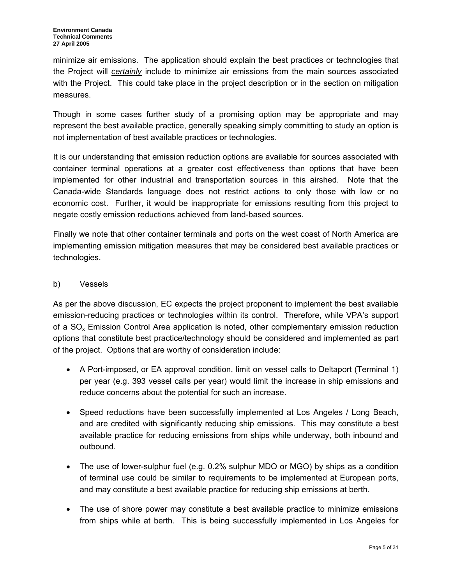minimize air emissions. The application should explain the best practices or technologies that the Project will *certainly* include to minimize air emissions from the main sources associated with the Project. This could take place in the project description or in the section on mitigation measures.

Though in some cases further study of a promising option may be appropriate and may represent the best available practice, generally speaking simply committing to study an option is not implementation of best available practices or technologies.

It is our understanding that emission reduction options are available for sources associated with container terminal operations at a greater cost effectiveness than options that have been implemented for other industrial and transportation sources in this airshed. Note that the Canada-wide Standards language does not restrict actions to only those with low or no economic cost. Further, it would be inappropriate for emissions resulting from this project to negate costly emission reductions achieved from land-based sources.

Finally we note that other container terminals and ports on the west coast of North America are implementing emission mitigation measures that may be considered best available practices or technologies.

## b) Vessels

As per the above discussion, EC expects the project proponent to implement the best available emission-reducing practices or technologies within its control. Therefore, while VPA's support of a  $SO<sub>x</sub>$  Emission Control Area application is noted, other complementary emission reduction options that constitute best practice/technology should be considered and implemented as part of the project. Options that are worthy of consideration include:

- A Port-imposed, or EA approval condition, limit on vessel calls to Deltaport (Terminal 1) per year (e.g. 393 vessel calls per year) would limit the increase in ship emissions and reduce concerns about the potential for such an increase.
- Speed reductions have been successfully implemented at Los Angeles / Long Beach, and are credited with significantly reducing ship emissions. This may constitute a best available practice for reducing emissions from ships while underway, both inbound and outbound.
- The use of lower-sulphur fuel (e.g. 0.2% sulphur MDO or MGO) by ships as a condition of terminal use could be similar to requirements to be implemented at European ports, and may constitute a best available practice for reducing ship emissions at berth.
- The use of shore power may constitute a best available practice to minimize emissions from ships while at berth. This is being successfully implemented in Los Angeles for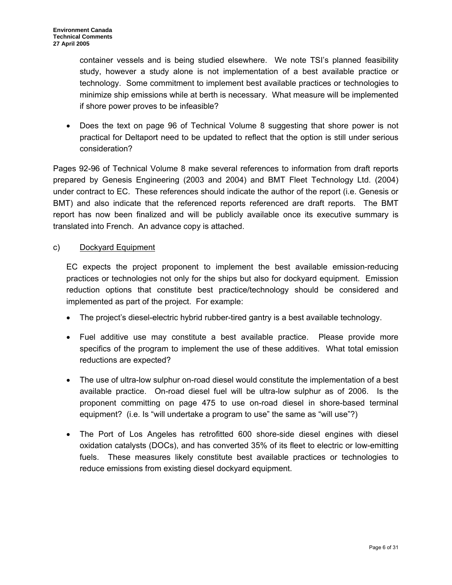container vessels and is being studied elsewhere. We note TSI's planned feasibility study, however a study alone is not implementation of a best available practice or technology. Some commitment to implement best available practices or technologies to minimize ship emissions while at berth is necessary. What measure will be implemented if shore power proves to be infeasible?

• Does the text on page 96 of Technical Volume 8 suggesting that shore power is not practical for Deltaport need to be updated to reflect that the option is still under serious consideration?

Pages 92-96 of Technical Volume 8 make several references to information from draft reports prepared by Genesis Engineering (2003 and 2004) and BMT Fleet Technology Ltd. (2004) under contract to EC. These references should indicate the author of the report (i.e. Genesis or BMT) and also indicate that the referenced reports referenced are draft reports. The BMT report has now been finalized and will be publicly available once its executive summary is translated into French. An advance copy is attached.

## c) Dockyard Equipment

EC expects the project proponent to implement the best available emission-reducing practices or technologies not only for the ships but also for dockyard equipment. Emission reduction options that constitute best practice/technology should be considered and implemented as part of the project. For example:

- The project's diesel-electric hybrid rubber-tired gantry is a best available technology.
- Fuel additive use may constitute a best available practice. Please provide more specifics of the program to implement the use of these additives. What total emission reductions are expected?
- The use of ultra-low sulphur on-road diesel would constitute the implementation of a best available practice. On-road diesel fuel will be ultra-low sulphur as of 2006. Is the proponent committing on page 475 to use on-road diesel in shore-based terminal equipment? (i.e. Is "will undertake a program to use" the same as "will use"?)
- The Port of Los Angeles has retrofitted 600 shore-side diesel engines with diesel oxidation catalysts (DOCs), and has converted 35% of its fleet to electric or low-emitting fuels. These measures likely constitute best available practices or technologies to reduce emissions from existing diesel dockyard equipment.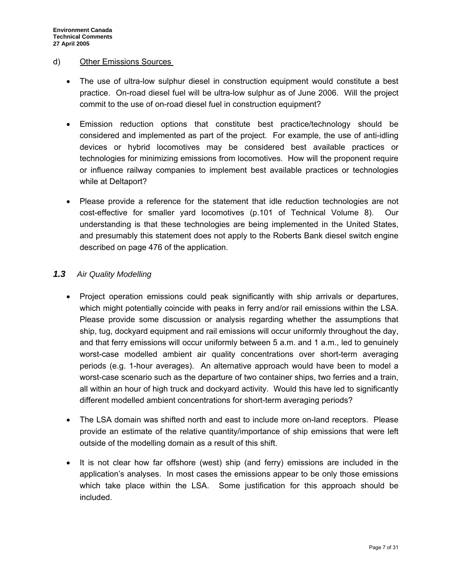# d) Other Emissions Sources

- The use of ultra-low sulphur diesel in construction equipment would constitute a best practice. On-road diesel fuel will be ultra-low sulphur as of June 2006. Will the project commit to the use of on-road diesel fuel in construction equipment?
- Emission reduction options that constitute best practice/technology should be considered and implemented as part of the project. For example, the use of anti-idling devices or hybrid locomotives may be considered best available practices or technologies for minimizing emissions from locomotives. How will the proponent require or influence railway companies to implement best available practices or technologies while at Deltaport?
- Please provide a reference for the statement that idle reduction technologies are not cost-effective for smaller yard locomotives (p.101 of Technical Volume 8). Our understanding is that these technologies are being implemented in the United States, and presumably this statement does not apply to the Roberts Bank diesel switch engine described on page 476 of the application.

# *1.3 Air Quality Modelling*

- Project operation emissions could peak significantly with ship arrivals or departures, which might potentially coincide with peaks in ferry and/or rail emissions within the LSA. Please provide some discussion or analysis regarding whether the assumptions that ship, tug, dockyard equipment and rail emissions will occur uniformly throughout the day, and that ferry emissions will occur uniformly between 5 a.m. and 1 a.m., led to genuinely worst-case modelled ambient air quality concentrations over short-term averaging periods (e.g. 1-hour averages). An alternative approach would have been to model a worst-case scenario such as the departure of two container ships, two ferries and a train, all within an hour of high truck and dockyard activity. Would this have led to significantly different modelled ambient concentrations for short-term averaging periods?
- The LSA domain was shifted north and east to include more on-land receptors. Please provide an estimate of the relative quantity/importance of ship emissions that were left outside of the modelling domain as a result of this shift.
- It is not clear how far offshore (west) ship (and ferry) emissions are included in the application's analyses. In most cases the emissions appear to be only those emissions which take place within the LSA. Some justification for this approach should be included.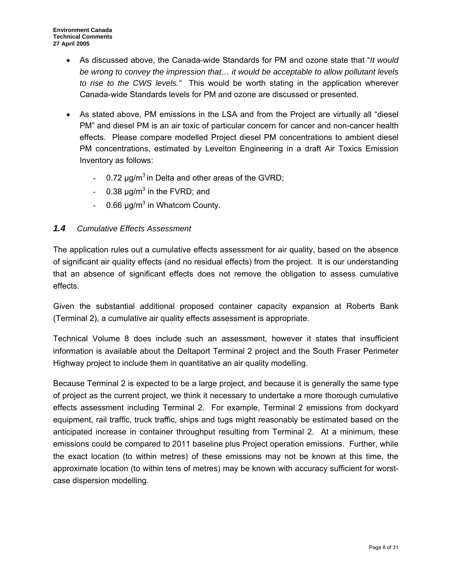- As discussed above, the Canada-wide Standards for PM and ozone state that "*It would be wrong to convey the impression that… it would be acceptable to allow pollutant levels to rise to the CWS levels."* This would be worth stating in the application wherever Canada-wide Standards levels for PM and ozone are discussed or presented.
- As stated above, PM emissions in the LSA and from the Project are virtually all "diesel PM" and diesel PM is an air toxic of particular concern for cancer and non-cancer health effects. Please compare modelled Project diesel PM concentrations to ambient diesel PM concentrations, estimated by Levelton Engineering in a draft Air Toxics Emission Inventory as follows:
	- 0.72  $\mu$ g/m<sup>3</sup> in Delta and other areas of the GVRD;
	- $-$  0.38  $\mu$ g/m<sup>3</sup> in the FVRD; and
	- 0.66  $\mu$ g/m<sup>3</sup> in Whatcom County.

## *1.4 Cumulative Effects Assessment*

The application rules out a cumulative effects assessment for air quality, based on the absence of significant air quality effects (and no residual effects) from the project. It is our understanding that an absence of significant effects does not remove the obligation to assess cumulative effects.

Given the substantial additional proposed container capacity expansion at Roberts Bank (Terminal 2), a cumulative air quality effects assessment is appropriate.

Technical Volume 8 does include such an assessment, however it states that insufficient information is available about the Deltaport Terminal 2 project and the South Fraser Perimeter Highway project to include them in quantitative an air quality modelling.

Because Terminal 2 is expected to be a large project, and because it is generally the same type of project as the current project, we think it necessary to undertake a more thorough cumulative effects assessment including Terminal 2. For example, Terminal 2 emissions from dockyard equipment, rail traffic, truck traffic, ships and tugs might reasonably be estimated based on the anticipated increase in container throughput resulting from Terminal 2. At a minimum, these emissions could be compared to 2011 baseline plus Project operation emissions. Further, while the exact location (to within metres) of these emissions may not be known at this time, the approximate location (to within tens of metres) may be known with accuracy sufficient for worstcase dispersion modelling.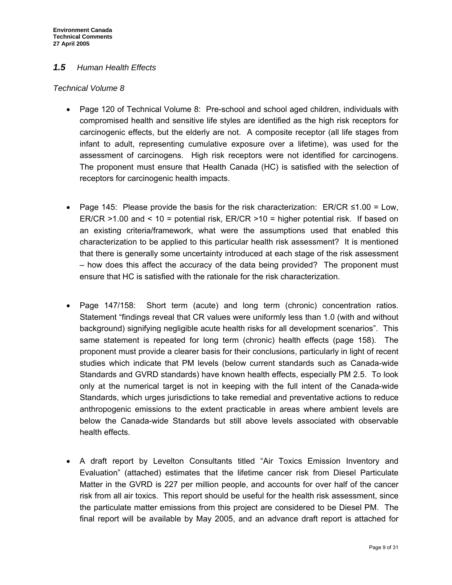## *1.5 Human Health Effects*

#### *Technical Volume 8*

- Page 120 of Technical Volume 8: Pre-school and school aged children, individuals with compromised health and sensitive life styles are identified as the high risk receptors for carcinogenic effects, but the elderly are not. A composite receptor (all life stages from infant to adult, representing cumulative exposure over a lifetime), was used for the assessment of carcinogens. High risk receptors were not identified for carcinogens. The proponent must ensure that Health Canada (HC) is satisfied with the selection of receptors for carcinogenic health impacts.
- Page 145: Please provide the basis for the risk characterization: ER/CR ≤1.00 = Low, ER/CR >1.00 and < 10 = potential risk, ER/CR >10 = higher potential risk. If based on an existing criteria/framework, what were the assumptions used that enabled this characterization to be applied to this particular health risk assessment? It is mentioned that there is generally some uncertainty introduced at each stage of the risk assessment – how does this affect the accuracy of the data being provided? The proponent must ensure that HC is satisfied with the rationale for the risk characterization.
- Page 147/158: Short term (acute) and long term (chronic) concentration ratios. Statement "findings reveal that CR values were uniformly less than 1.0 (with and without background) signifying negligible acute health risks for all development scenarios". This same statement is repeated for long term (chronic) health effects (page 158). The proponent must provide a clearer basis for their conclusions, particularly in light of recent studies which indicate that PM levels (below current standards such as Canada-wide Standards and GVRD standards) have known health effects, especially PM 2.5. To look only at the numerical target is not in keeping with the full intent of the Canada-wide Standards, which urges jurisdictions to take remedial and preventative actions to reduce anthropogenic emissions to the extent practicable in areas where ambient levels are below the Canada-wide Standards but still above levels associated with observable health effects.
- A draft report by Levelton Consultants titled "Air Toxics Emission Inventory and Evaluation" (attached) estimates that the lifetime cancer risk from Diesel Particulate Matter in the GVRD is 227 per million people, and accounts for over half of the cancer risk from all air toxics. This report should be useful for the health risk assessment, since the particulate matter emissions from this project are considered to be Diesel PM. The final report will be available by May 2005, and an advance draft report is attached for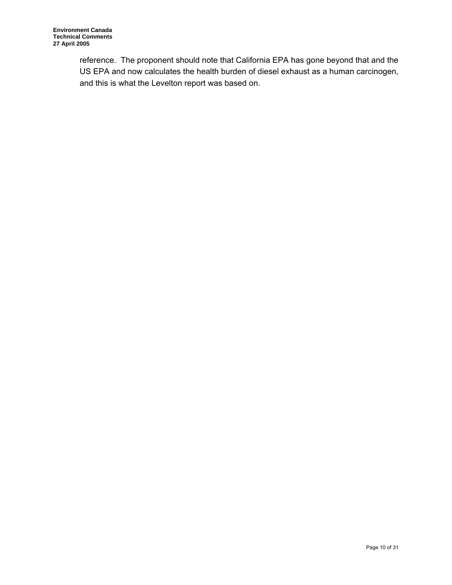reference. The proponent should note that California EPA has gone beyond that and the US EPA and now calculates the health burden of diesel exhaust as a human carcinogen, and this is what the Levelton report was based on.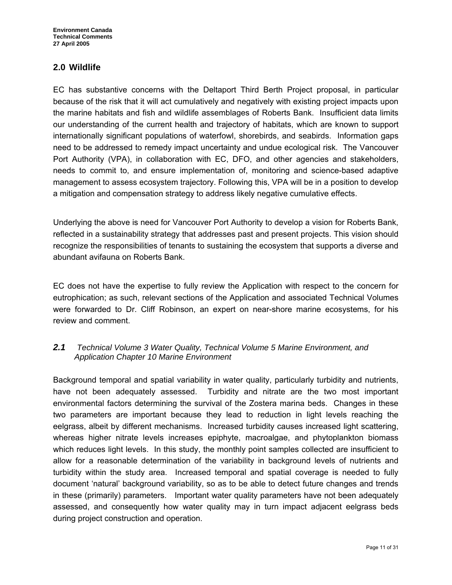# **2.0 Wildlife**

EC has substantive concerns with the Deltaport Third Berth Project proposal, in particular because of the risk that it will act cumulatively and negatively with existing project impacts upon the marine habitats and fish and wildlife assemblages of Roberts Bank. Insufficient data limits our understanding of the current health and trajectory of habitats, which are known to support internationally significant populations of waterfowl, shorebirds, and seabirds. Information gaps need to be addressed to remedy impact uncertainty and undue ecological risk. The Vancouver Port Authority (VPA), in collaboration with EC, DFO, and other agencies and stakeholders, needs to commit to, and ensure implementation of, monitoring and science-based adaptive management to assess ecosystem trajectory. Following this, VPA will be in a position to develop a mitigation and compensation strategy to address likely negative cumulative effects.

Underlying the above is need for Vancouver Port Authority to develop a vision for Roberts Bank, reflected in a sustainability strategy that addresses past and present projects. This vision should recognize the responsibilities of tenants to sustaining the ecosystem that supports a diverse and abundant avifauna on Roberts Bank.

EC does not have the expertise to fully review the Application with respect to the concern for eutrophication; as such, relevant sections of the Application and associated Technical Volumes were forwarded to Dr. Cliff Robinson, an expert on near-shore marine ecosystems, for his review and comment.

## *2.1 Technical Volume 3 Water Quality, Technical Volume 5 Marine Environment, and Application Chapter 10 Marine Environment*

Background temporal and spatial variability in water quality, particularly turbidity and nutrients, have not been adequately assessed. Turbidity and nitrate are the two most important environmental factors determining the survival of the Zostera marina beds. Changes in these two parameters are important because they lead to reduction in light levels reaching the eelgrass, albeit by different mechanisms. Increased turbidity causes increased light scattering, whereas higher nitrate levels increases epiphyte, macroalgae, and phytoplankton biomass which reduces light levels. In this study, the monthly point samples collected are insufficient to allow for a reasonable determination of the variability in background levels of nutrients and turbidity within the study area. Increased temporal and spatial coverage is needed to fully document 'natural' background variability, so as to be able to detect future changes and trends in these (primarily) parameters. Important water quality parameters have not been adequately assessed, and consequently how water quality may in turn impact adjacent eelgrass beds during project construction and operation.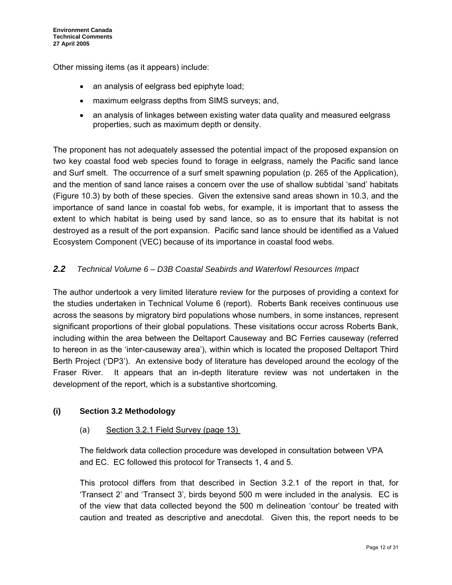Other missing items (as it appears) include:

- an analysis of eelgrass bed epiphyte load;
- maximum eelgrass depths from SIMS surveys; and,
- an analysis of linkages between existing water data quality and measured eelgrass properties, such as maximum depth or density.

The proponent has not adequately assessed the potential impact of the proposed expansion on two key coastal food web species found to forage in eelgrass, namely the Pacific sand lance and Surf smelt. The occurrence of a surf smelt spawning population (p. 265 of the Application), and the mention of sand lance raises a concern over the use of shallow subtidal 'sand' habitats (Figure 10.3) by both of these species. Given the extensive sand areas shown in 10.3, and the importance of sand lance in coastal fob webs, for example, it is important that to assess the extent to which habitat is being used by sand lance, so as to ensure that its habitat is not destroyed as a result of the port expansion. Pacific sand lance should be identified as a Valued Ecosystem Component (VEC) because of its importance in coastal food webs.

## *2.2 Technical Volume 6 – D3B Coastal Seabirds and Waterfowl Resources Impact*

The author undertook a very limited literature review for the purposes of providing a context for the studies undertaken in Technical Volume 6 (report). Roberts Bank receives continuous use across the seasons by migratory bird populations whose numbers, in some instances, represent significant proportions of their global populations. These visitations occur across Roberts Bank, including within the area between the Deltaport Causeway and BC Ferries causeway (referred to hereon in as the 'inter-causeway area'), within which is located the proposed Deltaport Third Berth Project ('DP3'). An extensive body of literature has developed around the ecology of the Fraser River. It appears that an in-depth literature review was not undertaken in the development of the report, which is a substantive shortcoming.

#### **(i) Section 3.2 Methodology**

#### (a) Section 3.2.1 Field Survey (page 13)

The fieldwork data collection procedure was developed in consultation between VPA and EC. EC followed this protocol for Transects 1, 4 and 5.

This protocol differs from that described in Section 3.2.1 of the report in that, for 'Transect 2' and 'Transect 3', birds beyond 500 m were included in the analysis. EC is of the view that data collected beyond the 500 m delineation 'contour' be treated with caution and treated as descriptive and anecdotal. Given this, the report needs to be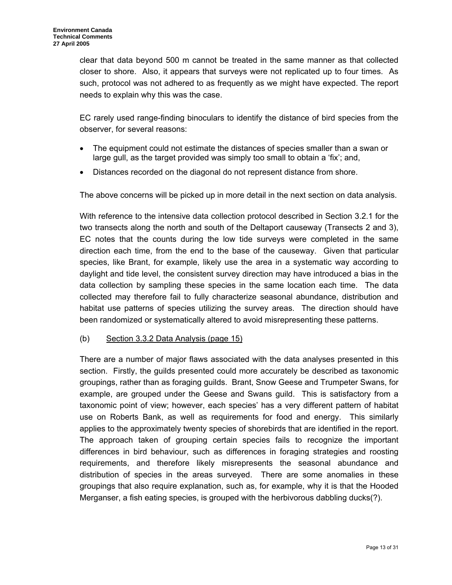clear that data beyond 500 m cannot be treated in the same manner as that collected closer to shore. Also, it appears that surveys were not replicated up to four times. As such, protocol was not adhered to as frequently as we might have expected. The report needs to explain why this was the case.

EC rarely used range-finding binoculars to identify the distance of bird species from the observer, for several reasons:

- The equipment could not estimate the distances of species smaller than a swan or large gull, as the target provided was simply too small to obtain a 'fix'; and,
- Distances recorded on the diagonal do not represent distance from shore.

The above concerns will be picked up in more detail in the next section on data analysis.

With reference to the intensive data collection protocol described in Section 3.2.1 for the two transects along the north and south of the Deltaport causeway (Transects 2 and 3), EC notes that the counts during the low tide surveys were completed in the same direction each time, from the end to the base of the causeway. Given that particular species, like Brant, for example, likely use the area in a systematic way according to daylight and tide level, the consistent survey direction may have introduced a bias in the data collection by sampling these species in the same location each time. The data collected may therefore fail to fully characterize seasonal abundance, distribution and habitat use patterns of species utilizing the survey areas. The direction should have been randomized or systematically altered to avoid misrepresenting these patterns.

## (b) Section 3.3.2 Data Analysis (page 15)

There are a number of major flaws associated with the data analyses presented in this section. Firstly, the guilds presented could more accurately be described as taxonomic groupings, rather than as foraging guilds. Brant, Snow Geese and Trumpeter Swans, for example, are grouped under the Geese and Swans guild. This is satisfactory from a taxonomic point of view; however, each species' has a very different pattern of habitat use on Roberts Bank, as well as requirements for food and energy. This similarly applies to the approximately twenty species of shorebirds that are identified in the report. The approach taken of grouping certain species fails to recognize the important differences in bird behaviour, such as differences in foraging strategies and roosting requirements, and therefore likely misrepresents the seasonal abundance and distribution of species in the areas surveyed. There are some anomalies in these groupings that also require explanation, such as, for example, why it is that the Hooded Merganser, a fish eating species, is grouped with the herbivorous dabbling ducks(?).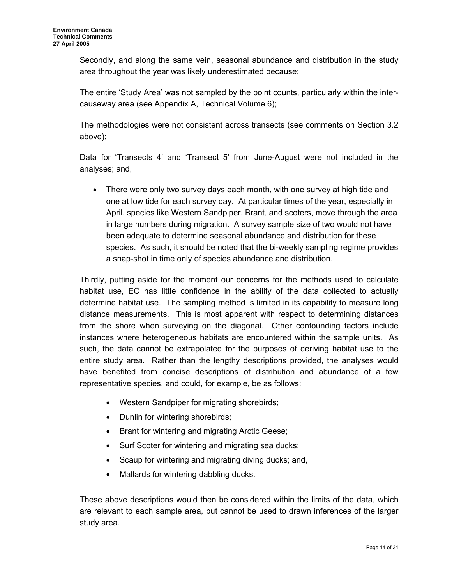Secondly, and along the same vein, seasonal abundance and distribution in the study area throughout the year was likely underestimated because:

The entire 'Study Area' was not sampled by the point counts, particularly within the intercauseway area (see Appendix A, Technical Volume 6);

The methodologies were not consistent across transects (see comments on Section 3.2 above);

Data for 'Transects 4' and 'Transect 5' from June-August were not included in the analyses; and,

• There were only two survey days each month, with one survey at high tide and one at low tide for each survey day. At particular times of the year, especially in April, species like Western Sandpiper, Brant, and scoters, move through the area in large numbers during migration. A survey sample size of two would not have been adequate to determine seasonal abundance and distribution for these species. As such, it should be noted that the bi-weekly sampling regime provides a snap-shot in time only of species abundance and distribution.

Thirdly, putting aside for the moment our concerns for the methods used to calculate habitat use, EC has little confidence in the ability of the data collected to actually determine habitat use. The sampling method is limited in its capability to measure long distance measurements. This is most apparent with respect to determining distances from the shore when surveying on the diagonal. Other confounding factors include instances where heterogeneous habitats are encountered within the sample units. As such, the data cannot be extrapolated for the purposes of deriving habitat use to the entire study area. Rather than the lengthy descriptions provided, the analyses would have benefited from concise descriptions of distribution and abundance of a few representative species, and could, for example, be as follows:

- Western Sandpiper for migrating shorebirds;
- Dunlin for wintering shorebirds;
- Brant for wintering and migrating Arctic Geese;
- Surf Scoter for wintering and migrating sea ducks;
- Scaup for wintering and migrating diving ducks; and,
- Mallards for wintering dabbling ducks.

These above descriptions would then be considered within the limits of the data, which are relevant to each sample area, but cannot be used to drawn inferences of the larger study area.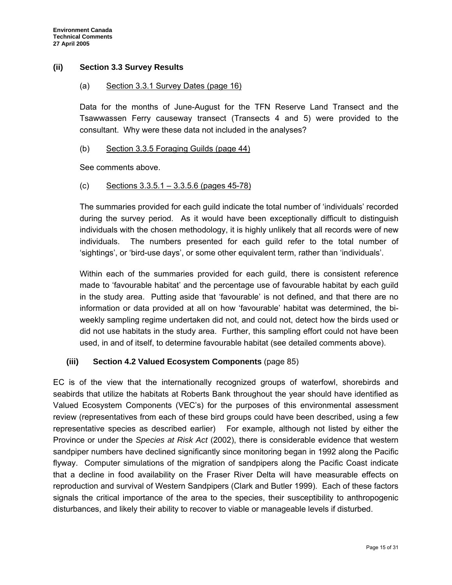#### **(ii) Section 3.3 Survey Results**

#### (a) Section 3.3.1 Survey Dates (page 16)

Data for the months of June-August for the TFN Reserve Land Transect and the Tsawwassen Ferry causeway transect (Transects 4 and 5) were provided to the consultant. Why were these data not included in the analyses?

#### (b) Section 3.3.5 Foraging Guilds (page 44)

See comments above.

#### (c) Sections 3.3.5.1 – 3.3.5.6 (pages 45-78)

The summaries provided for each guild indicate the total number of 'individuals' recorded during the survey period. As it would have been exceptionally difficult to distinguish individuals with the chosen methodology, it is highly unlikely that all records were of new individuals. The numbers presented for each guild refer to the total number of 'sightings', or 'bird-use days', or some other equivalent term, rather than 'individuals'.

Within each of the summaries provided for each guild, there is consistent reference made to 'favourable habitat' and the percentage use of favourable habitat by each guild in the study area. Putting aside that 'favourable' is not defined, and that there are no information or data provided at all on how 'favourable' habitat was determined, the biweekly sampling regime undertaken did not, and could not, detect how the birds used or did not use habitats in the study area. Further, this sampling effort could not have been used, in and of itself, to determine favourable habitat (see detailed comments above).

#### **(iii) Section 4.2 Valued Ecosystem Components** (page 85)

EC is of the view that the internationally recognized groups of waterfowl, shorebirds and seabirds that utilize the habitats at Roberts Bank throughout the year should have identified as Valued Ecosystem Components (VEC's) for the purposes of this environmental assessment review (representatives from each of these bird groups could have been described, using a few representative species as described earlier) For example, although not listed by either the Province or under the *Species at Risk Act* (2002), there is considerable evidence that western sandpiper numbers have declined significantly since monitoring began in 1992 along the Pacific flyway. Computer simulations of the migration of sandpipers along the Pacific Coast indicate that a decline in food availability on the Fraser River Delta will have measurable effects on reproduction and survival of Western Sandpipers (Clark and Butler 1999). Each of these factors signals the critical importance of the area to the species, their susceptibility to anthropogenic disturbances, and likely their ability to recover to viable or manageable levels if disturbed.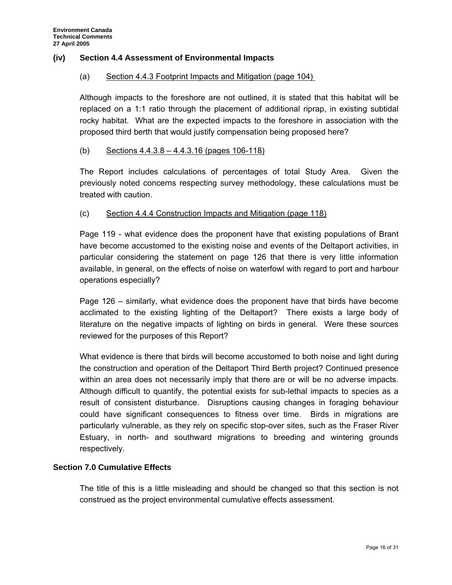#### **(iv) Section 4.4 Assessment of Environmental Impacts**

#### (a) Section 4.4.3 Footprint Impacts and Mitigation (page 104)

Although impacts to the foreshore are not outlined, it is stated that this habitat will be replaced on a 1:1 ratio through the placement of additional riprap, in existing subtidal rocky habitat. What are the expected impacts to the foreshore in association with the proposed third berth that would justify compensation being proposed here?

#### (b) Sections 4.4.3.8 – 4.4.3.16 (pages 106-118)

The Report includes calculations of percentages of total Study Area. Given the previously noted concerns respecting survey methodology, these calculations must be treated with caution.

#### (c) Section 4.4.4 Construction Impacts and Mitigation (page 118)

Page 119 - what evidence does the proponent have that existing populations of Brant have become accustomed to the existing noise and events of the Deltaport activities, in particular considering the statement on page 126 that there is very little information available, in general, on the effects of noise on waterfowl with regard to port and harbour operations especially?

Page 126 – similarly, what evidence does the proponent have that birds have become acclimated to the existing lighting of the Deltaport? There exists a large body of literature on the negative impacts of lighting on birds in general. Were these sources reviewed for the purposes of this Report?

What evidence is there that birds will become accustomed to both noise and light during the construction and operation of the Deltaport Third Berth project? Continued presence within an area does not necessarily imply that there are or will be no adverse impacts. Although difficult to quantify, the potential exists for sub-lethal impacts to species as a result of consistent disturbance. Disruptions causing changes in foraging behaviour could have significant consequences to fitness over time. Birds in migrations are particularly vulnerable, as they rely on specific stop-over sites, such as the Fraser River Estuary, in north- and southward migrations to breeding and wintering grounds respectively.

## **Section 7.0 Cumulative Effects**

The title of this is a little misleading and should be changed so that this section is not construed as the project environmental cumulative effects assessment.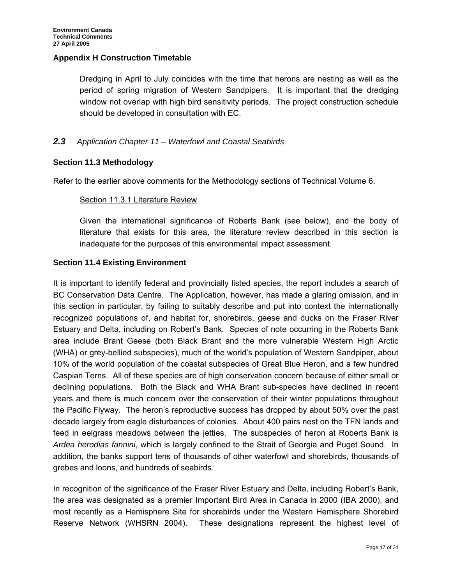#### **Appendix H Construction Timetable**

Dredging in April to July coincides with the time that herons are nesting as well as the period of spring migration of Western Sandpipers. It is important that the dredging window not overlap with high bird sensitivity periods. The project construction schedule should be developed in consultation with EC.

## *2.3 Application Chapter 11 – Waterfowl and Coastal Seabirds*

## **Section 11.3 Methodology**

Refer to the earlier above comments for the Methodology sections of Technical Volume 6.

#### Section 11.3.1 Literature Review

Given the international significance of Roberts Bank (see below), and the body of literature that exists for this area, the literature review described in this section is inadequate for the purposes of this environmental impact assessment.

## **Section 11.4 Existing Environment**

It is important to identify federal and provincially listed species, the report includes a search of BC Conservation Data Centre. The Application, however, has made a glaring omission, and in this section in particular, by failing to suitably describe and put into context the internationally recognized populations of, and habitat for, shorebirds, geese and ducks on the Fraser River Estuary and Delta, including on Robert's Bank. Species of note occurring in the Roberts Bank area include Brant Geese (both Black Brant and the more vulnerable Western High Arctic (WHA) or grey-bellied subspecies), much of the world's population of Western Sandpiper, about 10% of the world population of the coastal subspecies of Great Blue Heron, and a few hundred Caspian Terns. All of these species are of high conservation concern because of either small or declining populations. Both the Black and WHA Brant sub-species have declined in recent years and there is much concern over the conservation of their winter populations throughout the Pacific Flyway. The heron's reproductive success has dropped by about 50% over the past decade largely from eagle disturbances of colonies. About 400 pairs nest on the TFN lands and feed in eelgrass meadows between the jetties. The subspecies of heron at Roberts Bank is *Ardea herodias fannini*, which is largely confined to the Strait of Georgia and Puget Sound. In addition, the banks support tens of thousands of other waterfowl and shorebirds, thousands of grebes and loons, and hundreds of seabirds.

In recognition of the significance of the Fraser River Estuary and Delta, including Robert's Bank, the area was designated as a premier Important Bird Area in Canada in 2000 (IBA 2000), and most recently as a Hemisphere Site for shorebirds under the Western Hemisphere Shorebird Reserve Network (WHSRN 2004). These designations represent the highest level of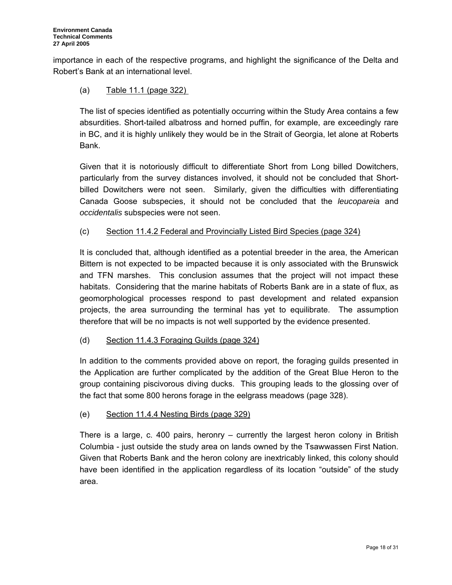importance in each of the respective programs, and highlight the significance of the Delta and Robert's Bank at an international level.

## (a) Table 11.1 (page 322)

The list of species identified as potentially occurring within the Study Area contains a few absurdities. Short-tailed albatross and horned puffin, for example, are exceedingly rare in BC, and it is highly unlikely they would be in the Strait of Georgia, let alone at Roberts Bank.

Given that it is notoriously difficult to differentiate Short from Long billed Dowitchers, particularly from the survey distances involved, it should not be concluded that Shortbilled Dowitchers were not seen. Similarly, given the difficulties with differentiating Canada Goose subspecies, it should not be concluded that the *leucopareia* and *occidentalis* subspecies were not seen.

## (c) Section 11.4.2 Federal and Provincially Listed Bird Species (page 324)

It is concluded that, although identified as a potential breeder in the area, the American Bittern is not expected to be impacted because it is only associated with the Brunswick and TFN marshes. This conclusion assumes that the project will not impact these habitats. Considering that the marine habitats of Roberts Bank are in a state of flux, as geomorphological processes respond to past development and related expansion projects, the area surrounding the terminal has yet to equilibrate. The assumption therefore that will be no impacts is not well supported by the evidence presented.

#### (d) Section 11.4.3 Foraging Guilds (page 324)

In addition to the comments provided above on report, the foraging guilds presented in the Application are further complicated by the addition of the Great Blue Heron to the group containing piscivorous diving ducks. This grouping leads to the glossing over of the fact that some 800 herons forage in the eelgrass meadows (page 328).

#### (e) Section 11.4.4 Nesting Birds (page 329)

There is a large, c. 400 pairs, heronry – currently the largest heron colony in British Columbia - just outside the study area on lands owned by the Tsawwassen First Nation. Given that Roberts Bank and the heron colony are inextricably linked, this colony should have been identified in the application regardless of its location "outside" of the study area.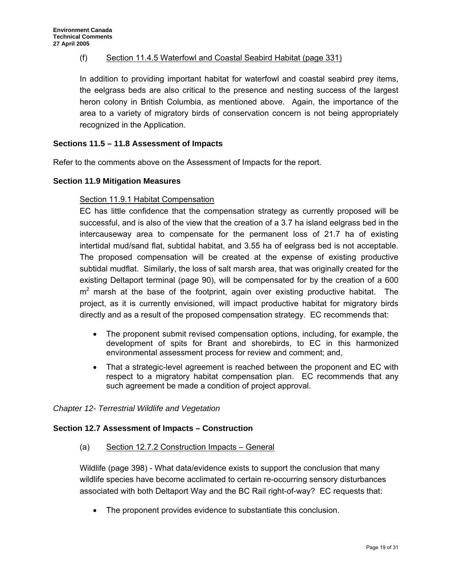## (f) Section 11.4.5 Waterfowl and Coastal Seabird Habitat (page 331)

In addition to providing important habitat for waterfowl and coastal seabird prey items, the eelgrass beds are also critical to the presence and nesting success of the largest heron colony in British Columbia, as mentioned above. Again, the importance of the area to a variety of migratory birds of conservation concern is not being appropriately recognized in the Application.

#### **Sections 11.5 – 11.8 Assessment of Impacts**

Refer to the comments above on the Assessment of Impacts for the report.

#### **Section 11.9 Mitigation Measures**

#### Section 11.9.1 Habitat Compensation

EC has little confidence that the compensation strategy as currently proposed will be successful, and is also of the view that the creation of a 3.7 ha island eelgrass bed in the intercauseway area to compensate for the permanent loss of 21.7 ha of existing intertidal mud/sand flat, subtidal habitat, and 3.55 ha of eelgrass bed is not acceptable. The proposed compensation will be created at the expense of existing productive subtidal mudflat. Similarly, the loss of salt marsh area, that was originally created for the existing Deltaport terminal (page 90), will be compensated for by the creation of a 600  $m<sup>2</sup>$  marsh at the base of the footprint, again over existing productive habitat. The project, as it is currently envisioned, will impact productive habitat for migratory birds directly and as a result of the proposed compensation strategy. EC recommends that:

- The proponent submit revised compensation options, including, for example, the development of spits for Brant and shorebirds, to EC in this harmonized environmental assessment process for review and comment; and,
- That a strategic-level agreement is reached between the proponent and EC with respect to a migratory habitat compensation plan. EC recommends that any such agreement be made a condition of project approval.

#### *Chapter 12- Terrestrial Wildlife and Vegetation*

#### **Section 12.7 Assessment of Impacts – Construction**

#### (a) Section 12.7.2 Construction Impacts – General

Wildlife (page 398) - What data/evidence exists to support the conclusion that many wildlife species have become acclimated to certain re-occurring sensory disturbances associated with both Deltaport Way and the BC Rail right-of-way? EC requests that:

• The proponent provides evidence to substantiate this conclusion.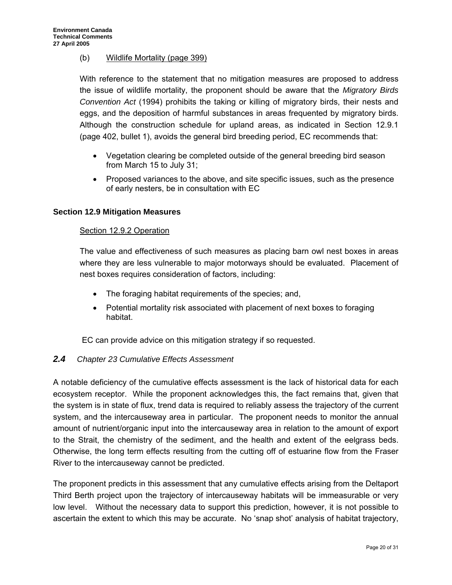## (b) Wildlife Mortality (page 399)

With reference to the statement that no mitigation measures are proposed to address the issue of wildlife mortality, the proponent should be aware that the *Migratory Birds Convention Act* (1994) prohibits the taking or killing of migratory birds, their nests and eggs, and the deposition of harmful substances in areas frequented by migratory birds. Although the construction schedule for upland areas, as indicated in Section 12.9.1 (page 402, bullet 1), avoids the general bird breeding period, EC recommends that:

- Vegetation clearing be completed outside of the general breeding bird season from March 15 to July 31;
- Proposed variances to the above, and site specific issues, such as the presence of early nesters, be in consultation with EC

## **Section 12.9 Mitigation Measures**

#### Section 12.9.2 Operation

The value and effectiveness of such measures as placing barn owl nest boxes in areas where they are less vulnerable to major motorways should be evaluated. Placement of nest boxes requires consideration of factors, including:

- The foraging habitat requirements of the species; and,
- Potential mortality risk associated with placement of next boxes to foraging habitat.

EC can provide advice on this mitigation strategy if so requested.

#### *2.4 Chapter 23 Cumulative Effects Assessment*

A notable deficiency of the cumulative effects assessment is the lack of historical data for each ecosystem receptor. While the proponent acknowledges this, the fact remains that, given that the system is in state of flux, trend data is required to reliably assess the trajectory of the current system, and the intercauseway area in particular. The proponent needs to monitor the annual amount of nutrient/organic input into the intercauseway area in relation to the amount of export to the Strait, the chemistry of the sediment, and the health and extent of the eelgrass beds. Otherwise, the long term effects resulting from the cutting off of estuarine flow from the Fraser River to the intercauseway cannot be predicted.

The proponent predicts in this assessment that any cumulative effects arising from the Deltaport Third Berth project upon the trajectory of intercauseway habitats will be immeasurable or very low level. Without the necessary data to support this prediction, however, it is not possible to ascertain the extent to which this may be accurate. No 'snap shot' analysis of habitat trajectory,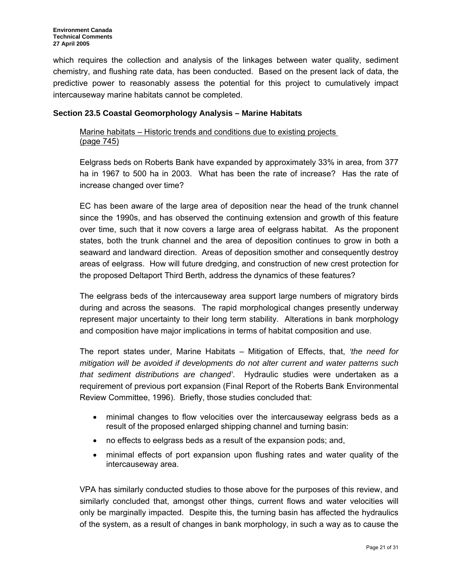which requires the collection and analysis of the linkages between water quality, sediment chemistry, and flushing rate data, has been conducted. Based on the present lack of data, the predictive power to reasonably assess the potential for this project to cumulatively impact intercauseway marine habitats cannot be completed.

## **Section 23.5 Coastal Geomorphology Analysis – Marine Habitats**

## Marine habitats – Historic trends and conditions due to existing projects (page 745)

Eelgrass beds on Roberts Bank have expanded by approximately 33% in area, from 377 ha in 1967 to 500 ha in 2003. What has been the rate of increase? Has the rate of increase changed over time?

EC has been aware of the large area of deposition near the head of the trunk channel since the 1990s, and has observed the continuing extension and growth of this feature over time, such that it now covers a large area of eelgrass habitat. As the proponent states, both the trunk channel and the area of deposition continues to grow in both a seaward and landward direction. Areas of deposition smother and consequently destroy areas of eelgrass. How will future dredging, and construction of new crest protection for the proposed Deltaport Third Berth, address the dynamics of these features?

The eelgrass beds of the intercauseway area support large numbers of migratory birds during and across the seasons. The rapid morphological changes presently underway represent major uncertainty to their long term stability. Alterations in bank morphology and composition have major implications in terms of habitat composition and use.

The report states under, Marine Habitats – Mitigation of Effects, that, *'the need for mitigation will be avoided if developments do not alter current and water patterns such that sediment distributions are changed'*. Hydraulic studies were undertaken as a requirement of previous port expansion (Final Report of the Roberts Bank Environmental Review Committee, 1996). Briefly, those studies concluded that:

- minimal changes to flow velocities over the intercauseway eelgrass beds as a result of the proposed enlarged shipping channel and turning basin:
- no effects to eelgrass beds as a result of the expansion pods; and,
- minimal effects of port expansion upon flushing rates and water quality of the intercauseway area.

VPA has similarly conducted studies to those above for the purposes of this review, and similarly concluded that, amongst other things, current flows and water velocities will only be marginally impacted. Despite this, the turning basin has affected the hydraulics of the system, as a result of changes in bank morphology, in such a way as to cause the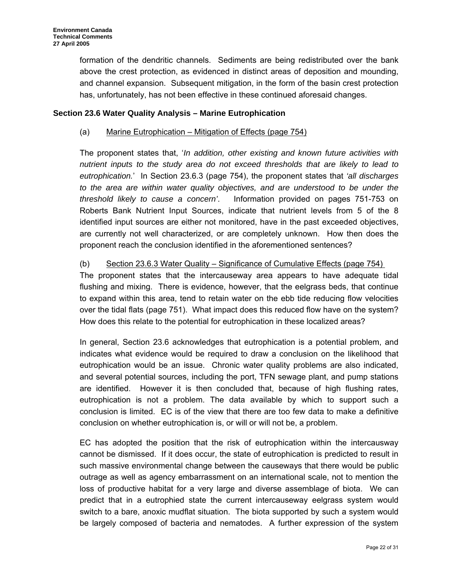formation of the dendritic channels. Sediments are being redistributed over the bank above the crest protection, as evidenced in distinct areas of deposition and mounding, and channel expansion. Subsequent mitigation, in the form of the basin crest protection has, unfortunately, has not been effective in these continued aforesaid changes.

## **Section 23.6 Water Quality Analysis – Marine Eutrophication**

## (a) Marine Eutrophication – Mitigation of Effects (page 754)

The proponent states that, '*In addition, other existing and known future activities with nutrient inputs to the study area do not exceed thresholds that are likely to lead to eutrophication.*' In Section 23.6.3 (page 754), the proponent states that *'all discharges to the area are within water quality objectives, and are understood to be under the threshold likely to cause a concern'*. Information provided on pages 751-753 on Roberts Bank Nutrient Input Sources, indicate that nutrient levels from 5 of the 8 identified input sources are either not monitored, have in the past exceeded objectives, are currently not well characterized, or are completely unknown. How then does the proponent reach the conclusion identified in the aforementioned sentences?

## (b) Section 23.6.3 Water Quality – Significance of Cumulative Effects (page 754)

The proponent states that the intercauseway area appears to have adequate tidal flushing and mixing. There is evidence, however, that the eelgrass beds, that continue to expand within this area, tend to retain water on the ebb tide reducing flow velocities over the tidal flats (page 751). What impact does this reduced flow have on the system? How does this relate to the potential for eutrophication in these localized areas?

In general, Section 23.6 acknowledges that eutrophication is a potential problem, and indicates what evidence would be required to draw a conclusion on the likelihood that eutrophication would be an issue. Chronic water quality problems are also indicated, and several potential sources, including the port, TFN sewage plant, and pump stations are identified. However it is then concluded that, because of high flushing rates, eutrophication is not a problem. The data available by which to support such a conclusion is limited. EC is of the view that there are too few data to make a definitive conclusion on whether eutrophication is, or will or will not be, a problem.

EC has adopted the position that the risk of eutrophication within the intercausway cannot be dismissed. If it does occur, the state of eutrophication is predicted to result in such massive environmental change between the causeways that there would be public outrage as well as agency embarrassment on an international scale, not to mention the loss of productive habitat for a very large and diverse assemblage of biota. We can predict that in a eutrophied state the current intercauseway eelgrass system would switch to a bare, anoxic mudflat situation. The biota supported by such a system would be largely composed of bacteria and nematodes. A further expression of the system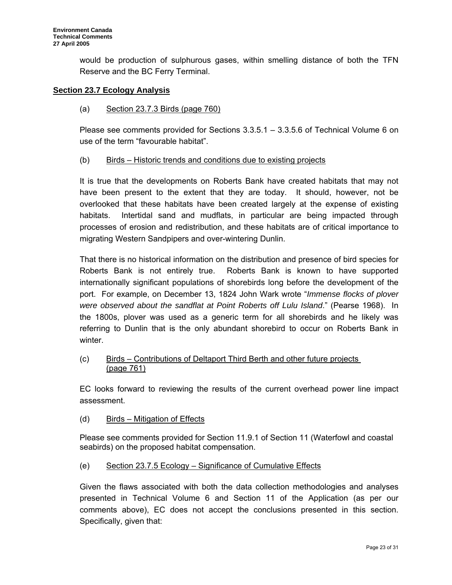would be production of sulphurous gases, within smelling distance of both the TFN Reserve and the BC Ferry Terminal.

#### **Section 23.7 Ecology Analysis**

(a) Section 23.7.3 Birds (page 760)

Please see comments provided for Sections 3.3.5.1 – 3.3.5.6 of Technical Volume 6 on use of the term "favourable habitat".

(b) Birds – Historic trends and conditions due to existing projects

It is true that the developments on Roberts Bank have created habitats that may not have been present to the extent that they are today. It should, however, not be overlooked that these habitats have been created largely at the expense of existing habitats. Intertidal sand and mudflats, in particular are being impacted through processes of erosion and redistribution, and these habitats are of critical importance to migrating Western Sandpipers and over-wintering Dunlin.

That there is no historical information on the distribution and presence of bird species for Roberts Bank is not entirely true. Roberts Bank is known to have supported internationally significant populations of shorebirds long before the development of the port. For example, on December 13, 1824 John Wark wrote "*Immense flocks of plover were observed about the sandflat at Point Roberts off Lulu Island*." (Pearse 1968). In the 1800s, plover was used as a generic term for all shorebirds and he likely was referring to Dunlin that is the only abundant shorebird to occur on Roberts Bank in winter.

(c) Birds – Contributions of Deltaport Third Berth and other future projects (page 761)

EC looks forward to reviewing the results of the current overhead power line impact assessment.

(d) Birds – Mitigation of Effects

Please see comments provided for Section 11.9.1 of Section 11 (Waterfowl and coastal seabirds) on the proposed habitat compensation.

(e) Section 23.7.5 Ecology – Significance of Cumulative Effects

Given the flaws associated with both the data collection methodologies and analyses presented in Technical Volume 6 and Section 11 of the Application (as per our comments above), EC does not accept the conclusions presented in this section. Specifically, given that: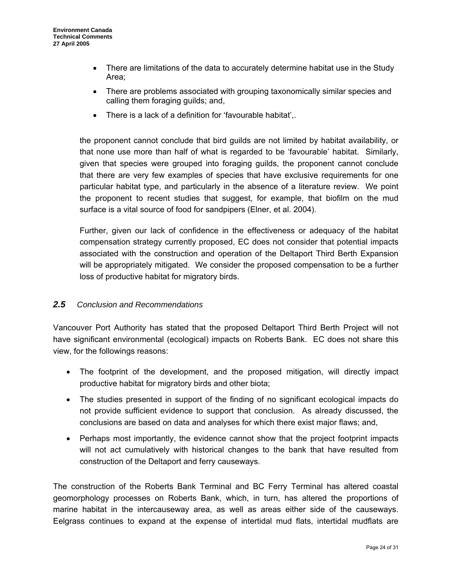- There are limitations of the data to accurately determine habitat use in the Study Area;
- There are problems associated with grouping taxonomically similar species and calling them foraging guilds; and,
- There is a lack of a definition for 'favourable habitat'..

the proponent cannot conclude that bird guilds are not limited by habitat availability, or that none use more than half of what is regarded to be 'favourable' habitat. Similarly, given that species were grouped into foraging guilds, the proponent cannot conclude that there are very few examples of species that have exclusive requirements for one particular habitat type, and particularly in the absence of a literature review. We point the proponent to recent studies that suggest, for example, that biofilm on the mud surface is a vital source of food for sandpipers (Elner, et al. 2004).

Further, given our lack of confidence in the effectiveness or adequacy of the habitat compensation strategy currently proposed, EC does not consider that potential impacts associated with the construction and operation of the Deltaport Third Berth Expansion will be appropriately mitigated. We consider the proposed compensation to be a further loss of productive habitat for migratory birds.

## *2.5 Conclusion and Recommendations*

Vancouver Port Authority has stated that the proposed Deltaport Third Berth Project will not have significant environmental (ecological) impacts on Roberts Bank. EC does not share this view, for the followings reasons:

- The footprint of the development, and the proposed mitigation, will directly impact productive habitat for migratory birds and other biota;
- The studies presented in support of the finding of no significant ecological impacts do not provide sufficient evidence to support that conclusion. As already discussed, the conclusions are based on data and analyses for which there exist major flaws; and,
- Perhaps most importantly, the evidence cannot show that the project footprint impacts will not act cumulatively with historical changes to the bank that have resulted from construction of the Deltaport and ferry causeways.

The construction of the Roberts Bank Terminal and BC Ferry Terminal has altered coastal geomorphology processes on Roberts Bank, which, in turn, has altered the proportions of marine habitat in the intercauseway area, as well as areas either side of the causeways. Eelgrass continues to expand at the expense of intertidal mud flats, intertidal mudflats are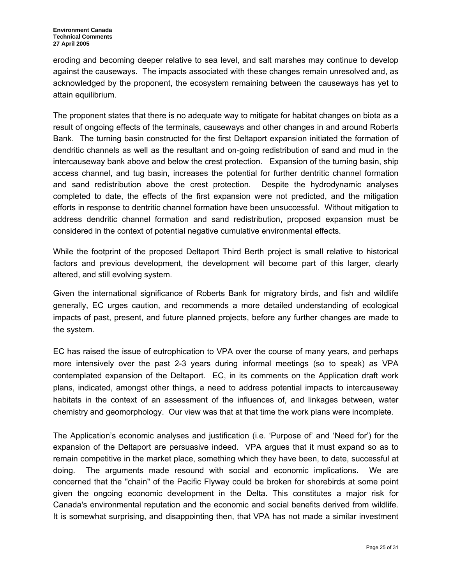eroding and becoming deeper relative to sea level, and salt marshes may continue to develop against the causeways. The impacts associated with these changes remain unresolved and, as acknowledged by the proponent, the ecosystem remaining between the causeways has yet to attain equilibrium.

The proponent states that there is no adequate way to mitigate for habitat changes on biota as a result of ongoing effects of the terminals, causeways and other changes in and around Roberts Bank. The turning basin constructed for the first Deltaport expansion initiated the formation of dendritic channels as well as the resultant and on-going redistribution of sand and mud in the intercauseway bank above and below the crest protection. Expansion of the turning basin, ship access channel, and tug basin, increases the potential for further dentritic channel formation and sand redistribution above the crest protection. Despite the hydrodynamic analyses completed to date, the effects of the first expansion were not predicted, and the mitigation efforts in response to dentritic channel formation have been unsuccessful. Without mitigation to address dendritic channel formation and sand redistribution, proposed expansion must be considered in the context of potential negative cumulative environmental effects.

While the footprint of the proposed Deltaport Third Berth project is small relative to historical factors and previous development, the development will become part of this larger, clearly altered, and still evolving system.

Given the international significance of Roberts Bank for migratory birds, and fish and wildlife generally, EC urges caution, and recommends a more detailed understanding of ecological impacts of past, present, and future planned projects, before any further changes are made to the system.

EC has raised the issue of eutrophication to VPA over the course of many years, and perhaps more intensively over the past 2-3 years during informal meetings (so to speak) as VPA contemplated expansion of the Deltaport. EC, in its comments on the Application draft work plans, indicated, amongst other things, a need to address potential impacts to intercauseway habitats in the context of an assessment of the influences of, and linkages between, water chemistry and geomorphology. Our view was that at that time the work plans were incomplete.

The Application's economic analyses and justification (i.e. 'Purpose of' and 'Need for') for the expansion of the Deltaport are persuasive indeed. VPA argues that it must expand so as to remain competitive in the market place, something which they have been, to date, successful at doing. The arguments made resound with social and economic implications. We are concerned that the "chain" of the Pacific Flyway could be broken for shorebirds at some point given the ongoing economic development in the Delta. This constitutes a major risk for Canada's environmental reputation and the economic and social benefits derived from wildlife. It is somewhat surprising, and disappointing then, that VPA has not made a similar investment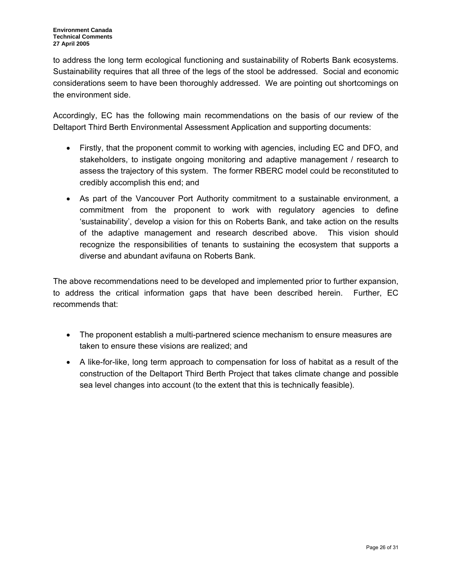to address the long term ecological functioning and sustainability of Roberts Bank ecosystems. Sustainability requires that all three of the legs of the stool be addressed. Social and economic considerations seem to have been thoroughly addressed. We are pointing out shortcomings on the environment side.

Accordingly, EC has the following main recommendations on the basis of our review of the Deltaport Third Berth Environmental Assessment Application and supporting documents:

- Firstly, that the proponent commit to working with agencies, including EC and DFO, and stakeholders, to instigate ongoing monitoring and adaptive management / research to assess the trajectory of this system. The former RBERC model could be reconstituted to credibly accomplish this end; and
- As part of the Vancouver Port Authority commitment to a sustainable environment, a commitment from the proponent to work with regulatory agencies to define 'sustainability', develop a vision for this on Roberts Bank, and take action on the results of the adaptive management and research described above. This vision should recognize the responsibilities of tenants to sustaining the ecosystem that supports a diverse and abundant avifauna on Roberts Bank.

The above recommendations need to be developed and implemented prior to further expansion, to address the critical information gaps that have been described herein. Further, EC recommends that:

- The proponent establish a multi-partnered science mechanism to ensure measures are taken to ensure these visions are realized; and
- A like-for-like, long term approach to compensation for loss of habitat as a result of the construction of the Deltaport Third Berth Project that takes climate change and possible sea level changes into account (to the extent that this is technically feasible).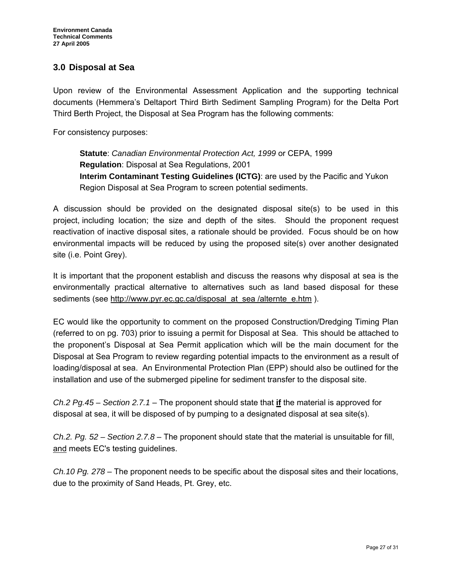# **3.0 Disposal at Sea**

Upon review of the Environmental Assessment Application and the supporting technical documents (Hemmera's Deltaport Third Birth Sediment Sampling Program) for the Delta Port Third Berth Project, the Disposal at Sea Program has the following comments:

For consistency purposes:

**Statute**: *Canadian Environmental Protection Act, 1999* or CEPA, 1999 **Regulation**: Disposal at Sea Regulations, 2001 **Interim Contaminant Testing Guidelines (ICTG)**: are used by the Pacific and Yukon Region Disposal at Sea Program to screen potential sediments.

A discussion should be provided on the designated disposal site(s) to be used in this project, including location; the size and depth of the sites. Should the proponent request reactivation of inactive disposal sites, a rationale should be provided. Focus should be on how environmental impacts will be reduced by using the proposed site(s) over another designated site (i.e. Point Grey).

It is important that the proponent establish and discuss the reasons why disposal at sea is the environmentally practical alternative to alternatives such as land based disposal for these sediments (see [http://www.pyr.ec.gc.ca/disposal\\_at\\_sea /alternte\\_e.htm](http://www.pyr.ec.gc.ca/disposal_at_sea/alternte_e.htm) ).

EC would like the opportunity to comment on the proposed Construction/Dredging Timing Plan (referred to on pg. 703) prior to issuing a permit for Disposal at Sea. This should be attached to the proponent's Disposal at Sea Permit application which will be the main document for the Disposal at Sea Program to review regarding potential impacts to the environment as a result of loading/disposal at sea. An Environmental Protection Plan (EPP) should also be outlined for the installation and use of the submerged pipeline for sediment transfer to the disposal site.

*Ch.2 Pg.45 – Section 2.7.1* – The proponent should state that **if** the material is approved for disposal at sea, it will be disposed of by pumping to a designated disposal at sea site(s).

*Ch.2. Pg. 52 – Section 2.7.8* – The proponent should state that the material is unsuitable for fill, and meets EC's testing guidelines.

*Ch.10 Pg. 278* – The proponent needs to be specific about the disposal sites and their locations, due to the proximity of Sand Heads, Pt. Grey, etc.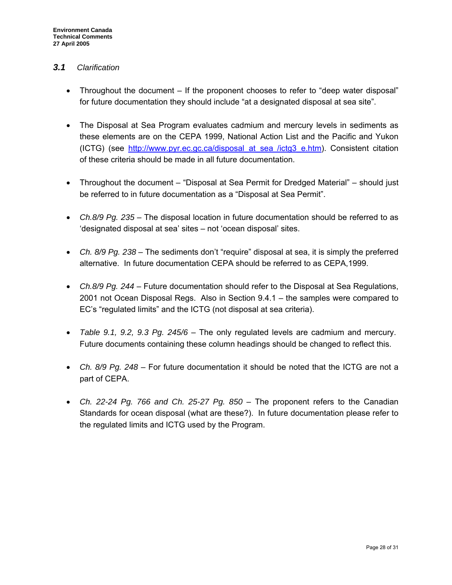## *3.1 Clarification*

- Throughout the document If the proponent chooses to refer to "deep water disposal" for future documentation they should include "at a designated disposal at sea site".
- The Disposal at Sea Program evaluates cadmium and mercury levels in sediments as these elements are on the CEPA 1999, National Action List and the Pacific and Yukon (ICTG) (see [http://www.pyr.ec.gc.ca/disposal\\_at\\_sea /ictg3\\_e.htm\)](http://www.pyr.ec.gc.ca/disposal_at_sea%20/ictg3_e.htm). Consistent citation of these criteria should be made in all future documentation.
- Throughout the document "Disposal at Sea Permit for Dredged Material" should just be referred to in future documentation as a "Disposal at Sea Permit".
- *Ch.8/9 Pg. 235* The disposal location in future documentation should be referred to as 'designated disposal at sea' sites – not 'ocean disposal' sites.
- *Ch. 8/9 Pg. 238* The sediments don't "require" disposal at sea, it is simply the preferred alternative. In future documentation CEPA should be referred to as CEPA,1999.
- *Ch.8/9 Pg. 244* Future documentation should refer to the Disposal at Sea Regulations, 2001 not Ocean Disposal Regs. Also in Section 9.4.1 – the samples were compared to EC's "regulated limits" and the ICTG (not disposal at sea criteria).
- *Table 9.1, 9.2, 9.3 Pg. 245/6* The only regulated levels are cadmium and mercury. Future documents containing these column headings should be changed to reflect this.
- *Ch. 8/9 Pg. 248* For future documentation it should be noted that the ICTG are not a part of CEPA.
- *Ch. 22-24 Pg. 766 and Ch. 25-27 Pg. 850* The proponent refers to the Canadian Standards for ocean disposal (what are these?). In future documentation please refer to the regulated limits and ICTG used by the Program.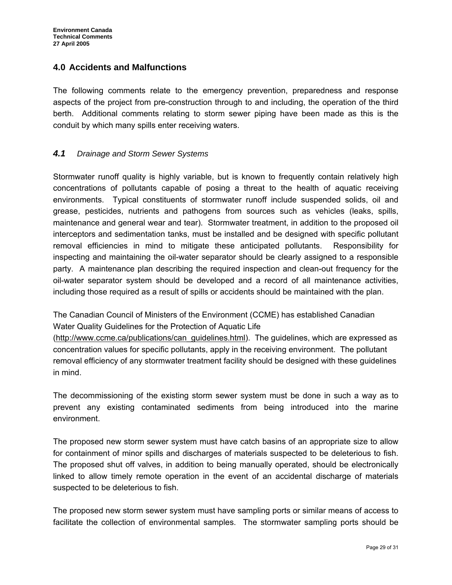# **4.0 Accidents and Malfunctions**

The following comments relate to the emergency prevention, preparedness and response aspects of the project from pre-construction through to and including, the operation of the third berth. Additional comments relating to storm sewer piping have been made as this is the conduit by which many spills enter receiving waters.

## *4.1 Drainage and Storm Sewer Systems*

Stormwater runoff quality is highly variable, but is known to frequently contain relatively high concentrations of pollutants capable of posing a threat to the health of aquatic receiving environments. Typical constituents of stormwater runoff include suspended solids, oil and grease, pesticides, nutrients and pathogens from sources such as vehicles (leaks, spills, maintenance and general wear and tear). Stormwater treatment, in addition to the proposed oil interceptors and sedimentation tanks, must be installed and be designed with specific pollutant removal efficiencies in mind to mitigate these anticipated pollutants. Responsibility for inspecting and maintaining the oil-water separator should be clearly assigned to a responsible party. A maintenance plan describing the required inspection and clean-out frequency for the oil-water separator system should be developed and a record of all maintenance activities, including those required as a result of spills or accidents should be maintained with the plan.

The Canadian Council of Ministers of the Environment (CCME) has established Canadian Water Quality Guidelines for the Protection of Aquatic Life

([http://www.ccme.ca/publications/can\\_guidelines.html](http://www.ccme.ca/publications/can_guidelines.html)). The guidelines, which are expressed as concentration values for specific pollutants, apply in the receiving environment. The pollutant removal efficiency of any stormwater treatment facility should be designed with these guidelines in mind.

The decommissioning of the existing storm sewer system must be done in such a way as to prevent any existing contaminated sediments from being introduced into the marine environment.

The proposed new storm sewer system must have catch basins of an appropriate size to allow for containment of minor spills and discharges of materials suspected to be deleterious to fish. The proposed shut off valves, in addition to being manually operated, should be electronically linked to allow timely remote operation in the event of an accidental discharge of materials suspected to be deleterious to fish.

The proposed new storm sewer system must have sampling ports or similar means of access to facilitate the collection of environmental samples. The stormwater sampling ports should be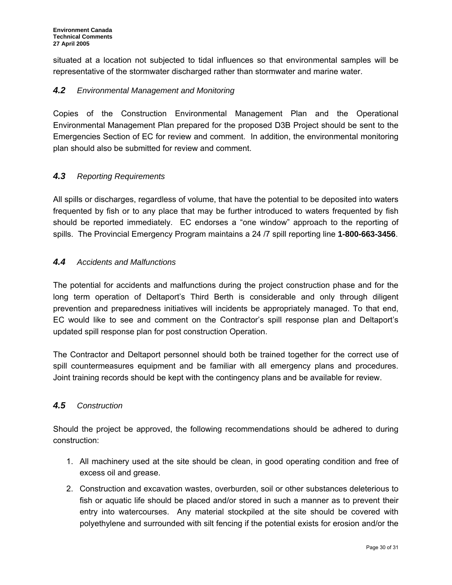situated at a location not subjected to tidal influences so that environmental samples will be representative of the stormwater discharged rather than stormwater and marine water.

## *4.2 Environmental Management and Monitoring*

Copies of the Construction Environmental Management Plan and the Operational Environmental Management Plan prepared for the proposed D3B Project should be sent to the Emergencies Section of EC for review and comment. In addition, the environmental monitoring plan should also be submitted for review and comment.

## *4.3 Reporting Requirements*

All spills or discharges, regardless of volume, that have the potential to be deposited into waters frequented by fish or to any place that may be further introduced to waters frequented by fish should be reported immediately. EC endorses a "one window" approach to the reporting of spills. The Provincial Emergency Program maintains a 24 /7 spill reporting line **1-800-663-3456**.

## *4.4 Accidents and Malfunctions*

The potential for accidents and malfunctions during the project construction phase and for the long term operation of Deltaport's Third Berth is considerable and only through diligent prevention and preparedness initiatives will incidents be appropriately managed. To that end, EC would like to see and comment on the Contractor's spill response plan and Deltaport's updated spill response plan for post construction Operation.

The Contractor and Deltaport personnel should both be trained together for the correct use of spill countermeasures equipment and be familiar with all emergency plans and procedures. Joint training records should be kept with the contingency plans and be available for review.

## *4.5 Construction*

Should the project be approved, the following recommendations should be adhered to during construction:

- 1. All machinery used at the site should be clean, in good operating condition and free of excess oil and grease.
- 2. Construction and excavation wastes, overburden, soil or other substances deleterious to fish or aquatic life should be placed and/or stored in such a manner as to prevent their entry into watercourses. Any material stockpiled at the site should be covered with polyethylene and surrounded with silt fencing if the potential exists for erosion and/or the